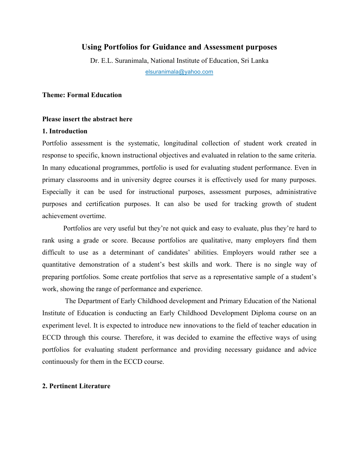## **Using Portfolios for Guidance and Assessment purposes**

Dr. E.L. Suranimala, National Institute of Education, Sri Lanka elsuranimala@yahoo.com

#### **Theme: Formal Education**

#### **Please insert the abstract here**

#### **1. Introduction**

Portfolio assessment is the systematic, longitudinal collection of student work created in response to specific, known instructional objectives and evaluated in relation to the same criteria. In many educational programmes, portfolio is used for evaluating student performance. Even in primary classrooms and in university degree courses it is effectively used for many purposes. Especially it can be used for instructional purposes, assessment purposes, administrative purposes and certification purposes. It can also be used for tracking growth of student achievement overtime.

Portfolios are very useful but they're not quick and easy to evaluate, plus they're hard to rank using a grade or score. Because portfolios are qualitative, many employers find them difficult to use as a determinant of candidates' abilities. Employers would rather see a quantitative demonstration of a student's best skills and work. There is no single way of preparing portfolios. Some create portfolios that serve as a representative sample of a student's work, showing the range of performance and experience.

The Department of Early Childhood development and Primary Education of the National Institute of Education is conducting an Early Childhood Development Diploma course on an experiment level. It is expected to introduce new innovations to the field of teacher education in ECCD through this course. Therefore, it was decided to examine the effective ways of using portfolios for evaluating student performance and providing necessary guidance and advice continuously for them in the ECCD course.

#### **2. Pertinent Literature**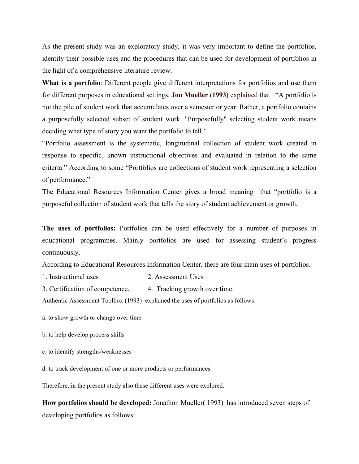As the present study was an exploratory study, it was very important to define the portfolios, identify their possible uses and the procedures that can be used for development of portfolios in the light of a comprehensive literature review.

**What is a portfolio**: Different people give different interpretations for portfolios and use them for different purposes in educational settings. **Jon Mueller (1993)** explained that "A portfolio is not the pile of student work that accumulates over a semester or year. Rather, a portfolio contains a purposefully selected subset of student work. "Purposefully" selecting student work means deciding what type of story you want the portfolio to tell."

"Portfolio assessment is the systematic, longitudinal collection of student work created in response to specific, known instructional objectives and evaluated in relation to the same criteria." According to some "Portfolios are collections of student work representing a selection of performance."

The Educational Resources Information Center gives a broad meaning that "portfolio is a purposeful collection of student work that tells the story of student achievement or growth.

**The uses of portfolios:** Portfolios can be used effectively for a number of purposes in educational programmes. Mainly portfolios are used for assessing student's progress continuously.

According to Educational Resources Information Center, there are four main uses of portfolios.

- 1. Instructional uses 2. Assessment Uses
- 3. Certification of competence, 4. Tracking growth over time.

Authentic Assessment Toolbox (1993) explained the uses of portfolios as follows:

a. to show growth or change over time

- b. to help develop process skills
- c. to identify strengths/weaknesses
- d. to track development of one or more products or performances

Therefore, in the present study also these different uses were explored.

**How portfolios should be developed:** Jonathon Mueller( 1993) has introduced seven steps of developing portfolios as follows: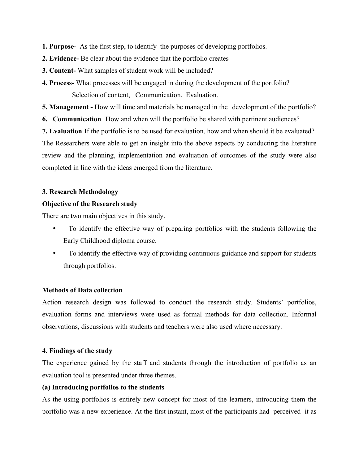**1. Purpose-** As the first step, to identify the purposes of developing portfolios.

- **2. Evidence-** Be clear about the evidence that the portfolio creates
- **3. Content-** What samples of student work will be included?
- **4. Process-** What processes will be engaged in during the development of the portfolio? Selection of content, Communication, Evaluation.

**5. Management -** How will time and materials be managed in the development of the portfolio?

**6. Communication** How and when will the portfolio be shared with pertinent audiences?

**7. Evaluation** If the portfolio is to be used for evaluation, how and when should it be evaluated? The Researchers were able to get an insight into the above aspects by conducting the literature review and the planning, implementation and evaluation of outcomes of the study were also completed in line with the ideas emerged from the literature.

# **3. Research Methodology**

# **Objective of the Research study**

There are two main objectives in this study.

- To identify the effective way of preparing portfolios with the students following the Early Childhood diploma course.
- To identify the effective way of providing continuous guidance and support for students through portfolios.

## **Methods of Data collection**

Action research design was followed to conduct the research study. Students' portfolios, evaluation forms and interviews were used as formal methods for data collection. Informal observations, discussions with students and teachers were also used where necessary.

## **4. Findings of the study**

The experience gained by the staff and students through the introduction of portfolio as an evaluation tool is presented under three themes.

## **(a) Introducing portfolios to the students**

As the using portfolios is entirely new concept for most of the learners, introducing them the portfolio was a new experience. At the first instant, most of the participants had perceived it as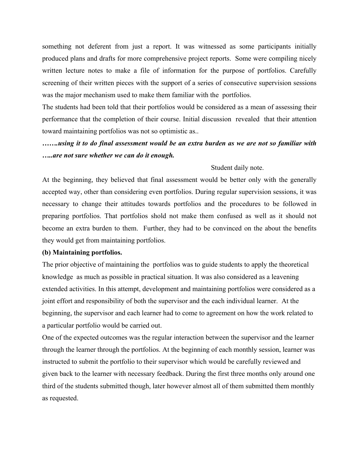something not deferent from just a report. It was witnessed as some participants initially produced plans and drafts for more comprehensive project reports. Some were compiling nicely written lecture notes to make a file of information for the purpose of portfolios. Carefully screening of their written pieces with the support of a series of consecutive supervision sessions was the major mechanism used to make them familiar with the portfolios.

The students had been told that their portfolios would be considered as a mean of assessing their performance that the completion of their course. Initial discussion revealed that their attention toward maintaining portfolios was not so optimistic as..

# *…….using it to do final assessment would be an extra burden as we are not so familiar with …..are not sure whether we can do it enough.*

## Student daily note.

At the beginning, they believed that final assessment would be better only with the generally accepted way, other than considering even portfolios. During regular supervision sessions, it was necessary to change their attitudes towards portfolios and the procedures to be followed in preparing portfolios. That portfolios shold not make them confused as well as it should not become an extra burden to them. Further, they had to be convinced on the about the benefits they would get from maintaining portfolios.

#### **(b) Maintaining portfolios.**

The prior objective of maintaining the portfolios was to guide students to apply the theoretical knowledge as much as possible in practical situation. It was also considered as a leavening extended activities. In this attempt, development and maintaining portfolios were considered as a joint effort and responsibility of both the supervisor and the each individual learner. At the beginning, the supervisor and each learner had to come to agreement on how the work related to a particular portfolio would be carried out.

One of the expected outcomes was the regular interaction between the supervisor and the learner through the learner through the portfolios. At the beginning of each monthly session, learner was instructed to submit the portfolio to their supervisor which would be carefully reviewed and given back to the learner with necessary feedback. During the first three months only around one third of the students submitted though, later however almost all of them submitted them monthly as requested.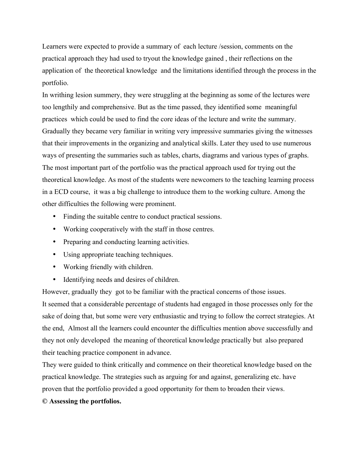Learners were expected to provide a summary of each lecture /session, comments on the practical approach they had used to tryout the knowledge gained , their reflections on the application of the theoretical knowledge and the limitations identified through the process in the portfolio.

In writhing lesion summery, they were struggling at the beginning as some of the lectures were too lengthily and comprehensive. But as the time passed, they identified some meaningful practices which could be used to find the core ideas of the lecture and write the summary. Gradually they became very familiar in writing very impressive summaries giving the witnesses that their improvements in the organizing and analytical skills. Later they used to use numerous ways of presenting the summaries such as tables, charts, diagrams and various types of graphs. The most important part of the portfolio was the practical approach used for trying out the theoretical knowledge. As most of the students were newcomers to the teaching learning process in a ECD course, it was a big challenge to introduce them to the working culture. Among the other difficulties the following were prominent.

- Finding the suitable centre to conduct practical sessions.
- Working cooperatively with the staff in those centres.
- Preparing and conducting learning activities.
- Using appropriate teaching techniques.
- Working friendly with children.
- Identifying needs and desires of children.

However, gradually they got to be familiar with the practical concerns of those issues.

It seemed that a considerable percentage of students had engaged in those processes only for the sake of doing that, but some were very enthusiastic and trying to follow the correct strategies. At the end, Almost all the learners could encounter the difficulties mention above successfully and they not only developed the meaning of theoretical knowledge practically but also prepared their teaching practice component in advance.

They were guided to think critically and commence on their theoretical knowledge based on the practical knowledge. The strategies such as arguing for and against, generalizing etc. have proven that the portfolio provided a good opportunity for them to broaden their views.

## **© Assessing the portfolios.**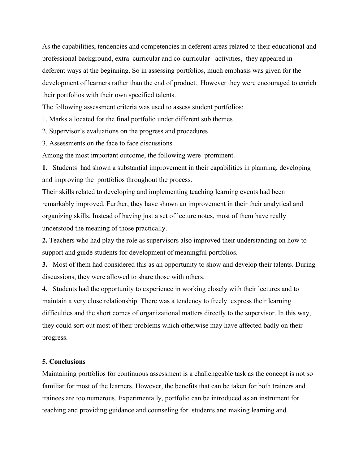As the capabilities, tendencies and competencies in deferent areas related to their educational and professional background, extra curricular and co-curricular activities, they appeared in deferent ways at the beginning. So in assessing portfolios, much emphasis was given for the development of learners rather than the end of product. However they were encouraged to enrich their portfolios with their own specified talents.

The following assessment criteria was used to assess student portfolios:

1. Marks allocated for the final portfolio under different sub themes

2. Supervisor's evaluations on the progress and procedures

3. Assessments on the face to face discussions

Among the most important outcome, the following were prominent.

**1.** Students had shown a substantial improvement in their capabilities in planning, developing and improving the portfolios throughout the process.

Their skills related to developing and implementing teaching learning events had been remarkably improved. Further, they have shown an improvement in their their analytical and organizing skills. Instead of having just a set of lecture notes, most of them have really understood the meaning of those practically.

**2.** Teachers who had play the role as supervisors also improved their understanding on how to support and guide students for development of meaningful portfolios.

**3.** Most of them had considered this as an opportunity to show and develop their talents. During discussions, they were allowed to share those with others.

**4.** Students had the opportunity to experience in working closely with their lectures and to maintain a very close relationship. There was a tendency to freely express their learning difficulties and the short comes of organizational matters directly to the supervisor. In this way, they could sort out most of their problems which otherwise may have affected badly on their progress.

## **5. Conclusions**

Maintaining portfolios for continuous assessment is a challengeable task as the concept is not so familiar for most of the learners. However, the benefits that can be taken for both trainers and trainees are too numerous. Experimentally, portfolio can be introduced as an instrument for teaching and providing guidance and counseling for students and making learning and